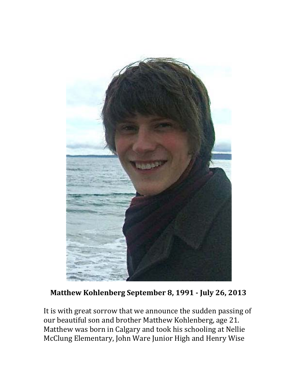

## **Matthew Kohlenberg September 8, 1991 ‐ July 26, 2013**

It is with great sorrow that we announce the sudden passing of our beautiful son and brother Matthew Kohlenberg, age 21. Matthew was born in Calgary and took his schooling at Nellie McClung Elementary, John Ware Junior High and Henry Wise